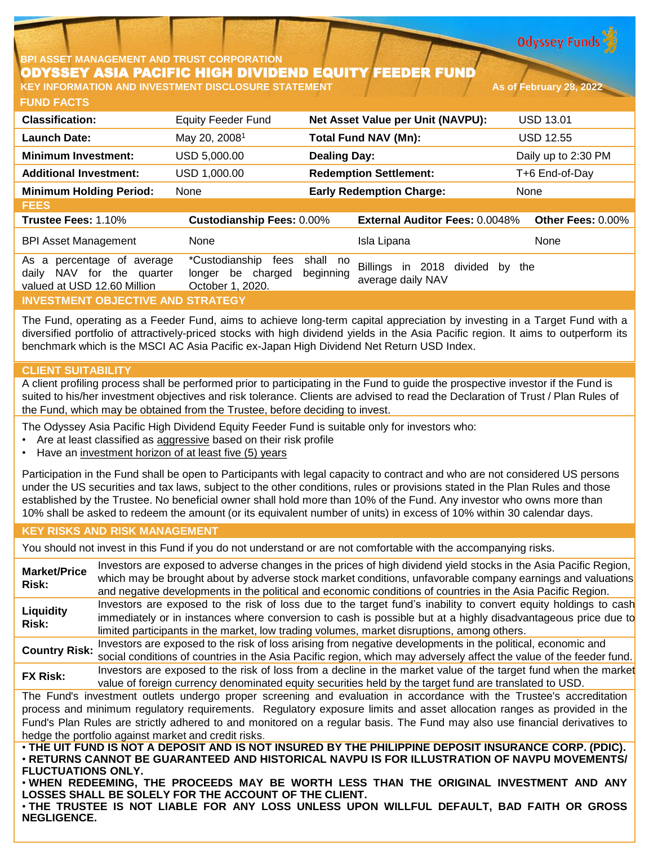**Odyssey Funds** 

# **BPI ASSET MANAGEMENT AND TRUST CORPORATION** ODYSSEY ASIA PACIFIC HIGH DIVIDEND EQUITY FEEDER FUND

**FUND FACTS KEY INFORMATION AND INVESTMENT DISCLOSURE STATEMENT As of February 28, 2022**

| <b>Classification:</b>                                                                       | <b>Equity Feeder Fund</b>                                       |                       | Net Asset Value per Unit (NAVPU):                      | <b>USD 13.01</b>    |
|----------------------------------------------------------------------------------------------|-----------------------------------------------------------------|-----------------------|--------------------------------------------------------|---------------------|
| <b>Launch Date:</b>                                                                          | May 20, 2008 <sup>1</sup>                                       |                       | <b>Total Fund NAV (Mn):</b>                            | <b>USD 12.55</b>    |
| <b>Minimum Investment:</b>                                                                   | USD 5,000.00                                                    | <b>Dealing Day:</b>   |                                                        | Daily up to 2:30 PM |
| <b>Additional Investment:</b>                                                                | USD 1,000.00                                                    |                       | <b>Redemption Settlement:</b>                          | T+6 End-of-Day      |
| <b>Minimum Holding Period:</b>                                                               | None                                                            |                       | <b>Early Redemption Charge:</b>                        | None                |
| <b>FEES</b>                                                                                  |                                                                 |                       |                                                        |                     |
| Trustee Fees: 1.10%                                                                          | <b>Custodianship Fees: 0.00%</b>                                |                       | <b>External Auditor Fees: 0.0048%</b>                  | Other Fees: 0.00%   |
| <b>BPI Asset Management</b>                                                                  | None                                                            |                       | Isla Lipana                                            | None                |
| percentage of average<br>As a<br>NAV for the quarter<br>daily<br>valued at USD 12.60 Million | *Custodianship<br>fees<br>longer be charged<br>October 1, 2020. | shall no<br>beginning | Billings<br>in 2018 divided<br>bv<br>average daily NAV | the                 |
| <b>INVESTMENT OBJECTIVE AND STRATEGY</b>                                                     |                                                                 |                       |                                                        |                     |

The Fund, operating as a Feeder Fund, aims to achieve long-term capital appreciation by investing in a Target Fund with a diversified portfolio of attractively-priced stocks with high dividend yields in the Asia Pacific region. It aims to outperform its benchmark which is the MSCI AC Asia Pacific ex-Japan High Dividend Net Return USD Index.

## **CLIENT SUITABILITY**

A client profiling process shall be performed prior to participating in the Fund to guide the prospective investor if the Fund is suited to his/her investment objectives and risk tolerance. Clients are advised to read the Declaration of Trust / Plan Rules of the Fund, which may be obtained from the Trustee, before deciding to invest.

The Odyssey Asia Pacific High Dividend Equity Feeder Fund is suitable only for investors who:

- Are at least classified as aggressive based on their risk profile
- Have an investment horizon of at least five (5) years

Participation in the Fund shall be open to Participants with legal capacity to contract and who are not considered US persons under the US securities and tax laws, subject to the other conditions, rules or provisions stated in the Plan Rules and those established by the Trustee. No beneficial owner shall hold more than 10% of the Fund. Any investor who owns more than 10% shall be asked to redeem the amount (or its equivalent number of units) in excess of 10% within 30 calendar days.

## **KEY RISKS AND RISK MANAGEMENT**

You should not invest in this Fund if you do not understand or are not comfortable with the accompanying risks.

**Market/Price Risk:** Investors are exposed to adverse changes in the prices of high dividend yield stocks in the Asia Pacific Region, which may be brought about by adverse stock market conditions, unfavorable company earnings and valuations and negative developments in the political and economic conditions of countries in the Asia Pacific Region. **Liquidity Risk:** Investors are exposed to the risk of loss due to the target fund's inability to convert equity holdings to cash immediately or in instances where conversion to cash is possible but at a highly disadvantageous price due to limited participants in the market, low trading volumes, market disruptions, among others. **Country Risk:** Investors are exposed to the risk of loss arising from negative developments in the political, economic and social conditions of countries in the Asia Pacific region, which may adversely affect the value of the feeder fund. **FX Risk:** Investors are exposed to the risk of loss from <sup>a</sup> decline in the market value of the target fund when the market value of foreign currency denominated equity securities held by the target fund are translated to USD. The Fund's investment outlets undergo proper screening and evaluation in accordance with the Trustee's accreditation process and minimum regulatory requirements. Regulatory exposure limits and asset allocation ranges as provided in the Fund's Plan Rules are strictly adhered to and monitored on a regular basis. The Fund may also use financial derivatives to hedge the portfolio against market and credit risks. . THE UIT FUND IS NOT A DEPOSIT AND IS NOT INSURED BY THE PHILIPPINE DEPOSIT INSURANCE CORP. (PDIC). • **RETURNS CANNOT BE GUARANTEED AND HISTORICAL NAVPU IS FOR ILLUSTRATION OF NAVPU MOVEMENTS/ FLUCTUATIONS ONLY.**

• **WHEN REDEEMING, THE PROCEEDS MAY BE WORTH LESS THAN THE ORIGINAL INVESTMENT AND ANY LOSSES SHALL BE SOLELY FOR THE ACCOUNT OF THE CLIENT.**

• **THE TRUSTEE IS NOT LIABLE FOR ANY LOSS UNLESS UPON WILLFUL DEFAULT, BAD FAITH OR GROSS NEGLIGENCE.**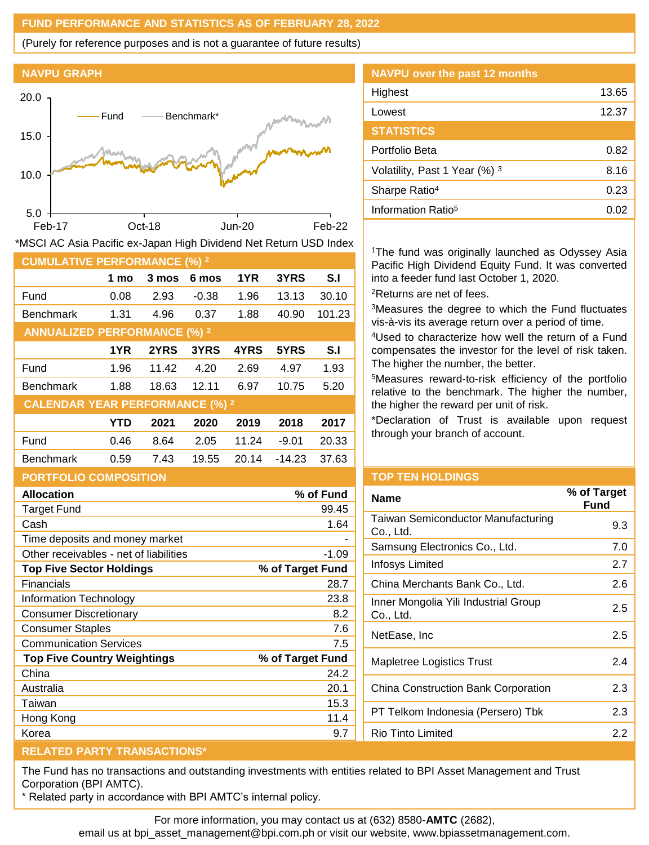### **FUND PERFORMANCE AND STATISTICS AS OF FEBRUARY 28, 2022**

(Purely for reference purposes and is not a guarantee of future results)





| <b>CUMULATIVE PERFORMANCE (%) 2</b>    |            |       |         |       |          |        |
|----------------------------------------|------------|-------|---------|-------|----------|--------|
|                                        | 1 mo       | 3 mos | 6 mos   | 1YR   | 3YRS     | S.I    |
| Fund                                   | 0.08       | 2.93  | $-0.38$ | 1.96  | 13.13    | 30.10  |
| <b>Benchmark</b>                       | 1.31       | 4.96  | 0.37    | 1.88  | 40.90    | 101.23 |
| <b>ANNUALIZED PERFORMANCE (%) 2</b>    |            |       |         |       |          |        |
|                                        | 1YR        | 2YRS  | 3YRS    | 4YRS  | 5YRS     | S.I    |
| Fund                                   | 1.96       | 11.42 | 4.20    | 2.69  | 4.97     | 1.93   |
| <b>Benchmark</b>                       | 1.88       | 18.63 | 12.11   | 6.97  | 10.75    | 5.20   |
| <b>CALENDAR YEAR PERFORMANCE (%) 2</b> |            |       |         |       |          |        |
|                                        | <b>YTD</b> | 2021  | 2020    | 2019  | 2018     | 2017   |
| Fund                                   | 0.46       | 8.64  | 2.05    | 11.24 | $-9.01$  | 20.33  |
| <b>Benchmark</b>                       | 0.59       | 7.43  | 19.55   | 20.14 | $-14.23$ | 37.63  |
| <b>PORTFOLIO COMPOSITION</b>           |            |       |         |       |          |        |

| <b>Allocation</b>                      | % of Fund        |
|----------------------------------------|------------------|
| Target Fund                            | 99.45            |
| Cash                                   | 1.64             |
| Time deposits and money market         |                  |
| Other receivables - net of liabilities | $-1.09$          |
| <b>Top Five Sector Holdings</b>        | % of Target Fund |
| Financials                             | 28.7             |
| Information Technology                 | 23.8             |
| Consumer Discretionary                 | 8.2              |
| <b>Consumer Staples</b>                | 7.6              |
| <b>Communication Services</b>          | 7.5              |
| <b>Top Five Country Weightings</b>     | % of Target Fund |
| China                                  | 24.2             |
| Australia                              | 20.1             |
| Taiwan                                 | 15.3             |
| Hong Kong                              | 11.4             |
| Korea                                  | 9.7              |

| NAVPU over the past 12 months  |       |
|--------------------------------|-------|
| Highest                        | 13.65 |
| Lowest                         | 12.37 |
| <b>STATISTICS</b>              |       |
| Portfolio Beta                 | 0.82  |
| Volatility, Past 1 Year (%) 3  | 8.16  |
| Sharpe Ratio <sup>4</sup>      | 0.23  |
| Information Ratio <sup>5</sup> | 0.02  |
|                                |       |

<sup>1</sup>The fund was originally launched as Odyssey Asia Pacific High Dividend Equity Fund. It was converted into a feeder fund last October 1, 2020. <sup>2</sup>Returns are net of fees.

<sup>3</sup>Measures the degree to which the Fund fluctuates vis-à-vis its average return over a period of time.

<sup>4</sup>Used to characterize how well the return of a Fund compensates the investor for the level of risk taken. The higher the number, the better.

<sup>5</sup>Measures reward-to-risk efficiency of the portfolio relative to the benchmark. The higher the number, the higher the reward per unit of risk.

\*Declaration of Trust is available upon request through your branch of account.

#### **TOP TEN HOLDINGS**

| <b>Name</b>                                            | % of Target<br>Fund |
|--------------------------------------------------------|---------------------|
| <b>Taiwan Semiconductor Manufacturing</b><br>Co., Ltd. | 9.3                 |
| Samsung Electronics Co., Ltd.                          | 7.0                 |
| Infosys Limited                                        | 2.7                 |
| China Merchants Bank Co., Ltd.                         | 2.6                 |
| Inner Mongolia Yili Industrial Group<br>Co., Ltd.      | 2.5                 |
| NetEase, Inc                                           | 2.5                 |
| <b>Mapletree Logistics Trust</b>                       | 2.4                 |
| <b>China Construction Bank Corporation</b>             | 2.3                 |
| PT Telkom Indonesia (Persero) Tbk                      | 2.3                 |
| Rio Tinto Limited                                      | 22                  |
|                                                        |                     |

### **RELATED PARTY TRANSACTIONS\***

The Fund has no transactions and outstanding investments with entities related to BPI Asset Management and Trust Corporation (BPI AMTC).

\* Related party in accordance with BPI AMTC's internal policy.

For more information, you may contact us at (632) 8580-**AMTC** (2682),

email us at bpi\_asset\_management@bpi.com.ph or visit our website, www.bpiassetmanagement.com.